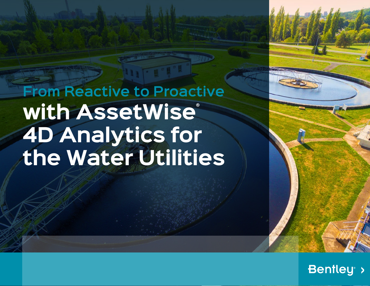**From Reactive to Proactive** with AssetWise® **4D Analytics for the Water Utilities**

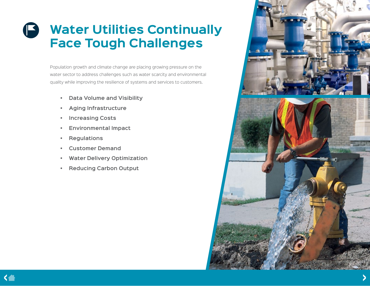# **Water Utilities Continually Face Tough Challenges**

Population growth and climate change are placing growing pressure on the water sector to address challenges such as water scarcity and environmental quality while improving the resilience of systems and services to customers.

- **• Data Volume and Visibility**
- **• Aging Infrastructure**
- **• Increasing Costs**
- **• Environmental Impact**
- **• Regulations**
- **• Customer Demand**
- **• Water Delivery Optimization**
- **• Reducing Carbon Output**

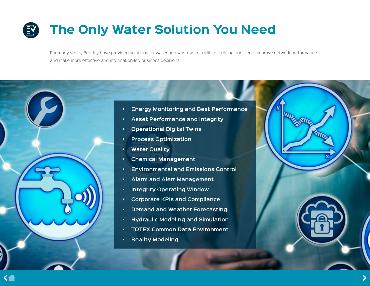# **The Only Water Solution You Need**

For many years, Bentley have provided solutions for water and wastewater utilities, helping our clients improve network performance and make more effective and information-led business decisions.

- **• Energy Monitoring and Best Performance**
- **• Asset Performance and Integrity**
- **• Operational Digital Twins**
- **• Process Optimization**
- **• Water Quality**
- **• Chemical Management**
- **• Environmental and Emissions Control**
- **• Alarm and Alert Management**
- **• Integrity Operating Window**
- **• Corporate KPIs and Compliance**
- **• Demand and Weather Forecasting**
- **• Hydraulic Modeling and Simulation**
- **• TOTEX Common Data Environment**
- **• Reality Modeling**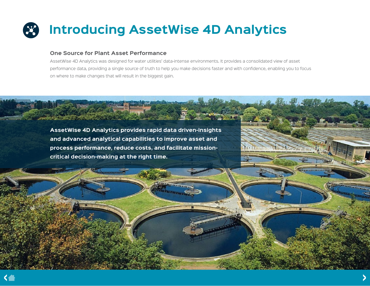# **Introducing AssetWise 4D Analytics**

## **One Source for Plant Asset Performance**

AssetWise 4D Analytics was designed for water utilities' data-intense environments. It provides a consolidated view of asset performance data, providing a single source of truth to help you make decisions faster and with confidence, enabling you to focus on where to make changes that will result in the biggest gain.

**17555** 

**AssetWise 4D Analytics provides rapid data driven-insights and advanced analytical capabilities to improve asset and process performance, reduce costs, and facilitate missioncritical decision-making at the right time.**

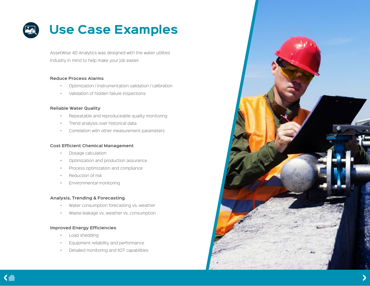

AssetWise 4D Analytics was designed with the water utilities industry in mind to help make your job easier.

### **Reduce Process Alarms**

- Optimization / instrumentation validation / calibration
- Validation of hidden failure inspections

### **Reliable Water Quality**

- Repeatable and reproduceable quality monitoring
- Trend analysis over historical data
- Correlation with other measurement parameters

#### **Cost Efficient Chemical Management**

- Dosage calculation
- Optimization and production assurance
- Process optimization and compliance
- Reduction of risk
- Environmental monitoring

### **Analysis, Trending & Forecasting**

- Water consumption forecasting vs. weather
- Waste leakage vs. weather vs. consumption

### **Improved Energy Efficiencies**

- Load shedding
- Equipment reliability and performance
- Detailed monitoring and IIOT capabilities

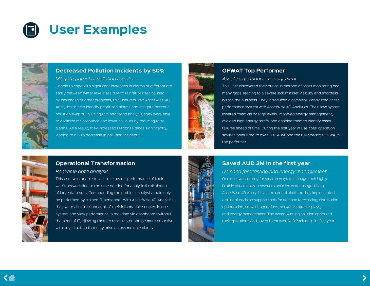



## **Decreased Pollution Incidents by 50%**

*Mitigate potential pollution events* Unable to cope with significant increases in alarms or differentiate easily between water level rises due to rainfall or rises caused by blockages or other problems, this user required AssetWise 4D Analytics to help identify prioritized alarms and mitigate potential pollution events. By using rain and trend analysis, they were able to optimize maintenance and lower call outs by reducing false alarms. As a result, they increased response times significantly, leading to a 50% decrease in pollution incidents.



# **OFWAT Top Performer**

### *Asset performance management*

This user discovered their previous method of asset monitoring had many gaps, leading to a severe lack in asset visibility and shortfalls across the business. They introduced a complete, centralized asset performance system with AssetWise 4D Analytics. Their new system lowered chemical dosage levels, improved energy management, avoided high energy tariffs, and enabled them to identify asset failures ahead of time. During the first year in use, total operation savings amounted to over GBP 48M, and the user became OFWAT's top performer.

# **Operational Transformation**

*Real-time data analysis*

This user was unable to visualize overall performance of their water network due to the time needed for analytical calculation of large data sets. Compounding the problem, analysis could only be performed by trained IT personnel. With AssetWise 4D Analytics, they were able to connect all of their information sources in one system and view performance in real-time via dashboards without the need of IT, allowing them to react faster and be more proactive with any situation that may arise across multiple plants.



## **Saved AUD 3M in the first year**

*Demand forecasting and energy management* One user was looking for smarter ways to manage their highly flexible yet complex network to optimize water usage. Using AssetWise 4D Analytics as the central platform, they implemented a suite of decision support tools for demand forecasting, distribution optimization, network operations, network status displays, and energy management. The award-winning solution optimized their operations and saved them over AUD 3 million in its first year.